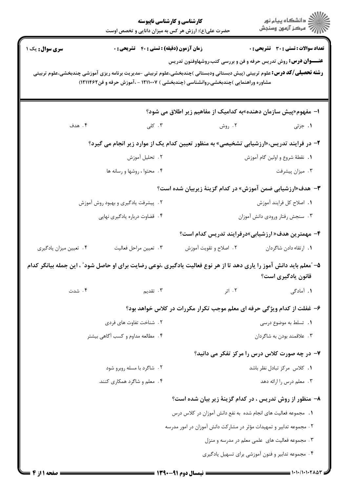|                                                                                                                                                                                                                                                                                               | کارشناسی و کارشناسی ناپیوسته<br>حضرت علی(ع): ارزش هر کس به میزان دانایی و تخصص اوست     | ڪ دانشڪاه پيام نور<br>ر∕ = مرڪز آزمون وسنڊش       |  |  |
|-----------------------------------------------------------------------------------------------------------------------------------------------------------------------------------------------------------------------------------------------------------------------------------------------|-----------------------------------------------------------------------------------------|---------------------------------------------------|--|--|
| <b>زمان آزمون (دقیقه) : تستی : 40 ٪ تشریحی : 0</b><br>سری سوال: یک ۱<br><b>رشته تحصیلی/کد درس:</b> علوم تربیتی (پیش دبستانی ودبستانی )چندبخشی،علوم تربیتی -مدیریت برنامه ریزی آموزشی چندبخشی،علوم تربیتی<br>مشاوره وراهنمایی )چندبخشی،روانشناسی (چندبخشی ) ۱۲۱۱۰۰۷ - ،آموزش حرفه و فن۱۲۱۱۴۶۲) | <b>عنــــوان درس:</b> روش تدریس حرفه و فن و بررسی کتب،روشهاوفنون تدریس                  | <b>تعداد سوالات : تستی : 30 ٪ تشریحی : 0</b>      |  |  |
|                                                                                                                                                                                                                                                                                               | ا– مفهوم«پیش سازمان دهنده»به کدامیک از مفاهیم زیر اطلاق می شود؟                         |                                                   |  |  |
| ۰۳ کلی<br>۰۴ هدف                                                                                                                                                                                                                                                                              |                                                                                         | ۲. روش<br>۰۱ جزئی                                 |  |  |
|                                                                                                                                                                                                                                                                                               | ۲- در فرایند تدریس،«ارزشیابی تشخیصی» به منظور تعیین کدام یک از موارد زیر انجام می گیرد؟ |                                                   |  |  |
| ۰۲ تحلیل آموزش                                                                                                                                                                                                                                                                                |                                                                                         | ٠١. نقطهٔ شروع و اولین گام آموزش                  |  |  |
| ۰۴ محتوا ، روشها و رسانه ها                                                                                                                                                                                                                                                                   |                                                                                         | ۰۳ میزان پیشرفت                                   |  |  |
| <b>۳</b> - هدف«ارزشیابی ضمن آموزش» در کدام گزینهٔ زیربیان شده است؟                                                                                                                                                                                                                            |                                                                                         |                                                   |  |  |
| ۲. پیشرفت یادگیری و بهبود روش آموزش                                                                                                                                                                                                                                                           |                                                                                         | ٠١. اصلاح كل فرايند آموزش                         |  |  |
| ۴. قضاوت درباره يادگيري نهايي                                                                                                                                                                                                                                                                 |                                                                                         | ۰۳ سنجش رفتار ورودی دانش آموزان                   |  |  |
|                                                                                                                                                                                                                                                                                               |                                                                                         | ۴- مهمترین هدف« ارزشیابی»درفرایند تدریس کدام است؟ |  |  |
| ۰۳ تعيين مراحل فعاليت<br>۰۴ تعیین میزان یادگیری                                                                                                                                                                                                                                               | ۰۲ اصلاح و تقویت آموزش                                                                  | 1. ارتقاء دادن شاگردان                            |  |  |
| ۵– "معلم باید دانش آموز را یاری دهد تا از هر نوع فعالیت یادگیری ،نوعی رضایت برای او حاصل شود" ، این جمله بیانگر کدام<br>قانون یادگیری است؟                                                                                                                                                    |                                                                                         |                                                   |  |  |
| ۰۴ شدت<br>۰۳ تقدیم                                                                                                                                                                                                                                                                            | ۰۲ اثر                                                                                  | <b>۱.</b> آمادگی                                  |  |  |
|                                                                                                                                                                                                                                                                                               | ۶- غفلت از کدام ویژگی حرفه ای معلم موجب تکرار مکررات در کلاس خواهد بود؟                 |                                                   |  |  |
| ۲. شناخت تفاوت های فردی                                                                                                                                                                                                                                                                       |                                                                                         | 1. تسلط به موضوع درسی                             |  |  |
| ۴. مطالعه مداوم و کسب آگاهی بیشتر                                                                                                                                                                                                                                                             |                                                                                         | ۰۳ علاقمند بودن به شاگردان                        |  |  |
|                                                                                                                                                                                                                                                                                               |                                                                                         | ۷- در چه صورت کلاس درس را مرکز تفکر می دانید؟     |  |  |
| ۰۲ شاگرد با مسله روبرو شود                                                                                                                                                                                                                                                                    |                                                                                         | ٠١ كلاس مركز تبادل نظر باشد                       |  |  |
| ۰۴ معلم و شاگرد همکاری کنند.                                                                                                                                                                                                                                                                  |                                                                                         | ۰۳ معلم درس را ارائه دهد                          |  |  |
|                                                                                                                                                                                                                                                                                               | ۸– منظور از روش تدریس ، در کدام گزینهٔ زیر بیان شده است؟                                |                                                   |  |  |
|                                                                                                                                                                                                                                                                                               | 1.   مجموعه فعالیت های انجام شده  به نفع دانش آموزان در کلاس درس                        |                                                   |  |  |
|                                                                                                                                                                                                                                                                                               | ۲ . مجموعه تدابیر و تمهیدات مؤثر در مشارکت دانش آموزان در امور مدرسه                    |                                                   |  |  |
| ۰۳ مجموعه فعالیت های علمی معلم در مدرسه و منزل                                                                                                                                                                                                                                                |                                                                                         |                                                   |  |  |
|                                                                                                                                                                                                                                                                                               |                                                                                         | ۴. مجموعه تدابیر و فنون آموزشی برای تسهیل یادگیری |  |  |
| صفحه ۱۱ز ۴                                                                                                                                                                                                                                                                                    | = نیمسال دوم ۹۱-۱۳۹۰ =                                                                  |                                                   |  |  |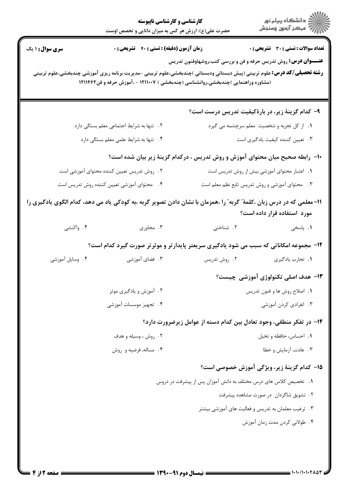|                                                                                                                                                                                                                                                                                                 | کارشناسی و کارشناسی ناپیوسته<br>حضرت علی(ع): ارزش هر کس به میزان دانایی و تخصص اوست     |                                                                                        | الان دانشگاه پيام نور<br>الاست مرکز آزمون وسنجش   |  |
|-------------------------------------------------------------------------------------------------------------------------------------------------------------------------------------------------------------------------------------------------------------------------------------------------|-----------------------------------------------------------------------------------------|----------------------------------------------------------------------------------------|---------------------------------------------------|--|
| <b>سری سوال :</b> ۱ یک                                                                                                                                                                                                                                                                          | زمان آزمون (دقیقه) : تستی : ۴۰٪ تشریحی : ۰                                              |                                                                                        | <b>تعداد سوالات : تستی : 30 ٪ تشریحی : 0</b>      |  |
| <b>عنــــوان درس:</b> روش تدریس حرفه و فن و بررسی کتب،روشهاوفنون تدریس<br><b>رشته تحصیلی/کد درس:</b> علوم تربیتی (پیش دبستانی ودبستانی )چندبخشی،علوم تربیتی -مدیریت برنامه ریزی آموزشی چندبخشی،علوم تربیتی<br>(مشاوره وراهنمایی )چندبخشی،روانشناسی (چندبخشی ) ۱۲۱۱۰۰۷ - ،آموزش حرفه و فن۱۲۱۱۴۶۲ |                                                                                         |                                                                                        |                                                   |  |
|                                                                                                                                                                                                                                                                                                 |                                                                                         |                                                                                        | ۹– کدام گزینهٔ زیر، در بارهٔکیفیت تدریس درست است؟ |  |
|                                                                                                                                                                                                                                                                                                 | ٠١. از كل تجربه و شخصيت معلم سرچشمه مي گيرد<br>۲. تنها به شرایط اجتماعی معلم بستگی دارد |                                                                                        |                                                   |  |
|                                                                                                                                                                                                                                                                                                 | ۰۳ تعیین کننده کیفیت یادگیری است<br>۴. تنها به شرایط علمی معلم بستگی دارد               |                                                                                        |                                                   |  |
| ∙۱− رابطه صحیح میان محتوای آموزش و روش تدریس ، درکدام گزینهٔ زیر بیان شده است؟                                                                                                                                                                                                                  |                                                                                         |                                                                                        |                                                   |  |
| ۰۲ روش تدریس تعیین کننده محتوای آموزشی است                                                                                                                                                                                                                                                      |                                                                                         | ٠١ اعتبار محتواى آموزشى بيش از روش تدريس است                                           |                                                   |  |
| ۰۴ محتوای آموزشی تعیین کننده روش تدریس است                                                                                                                                                                                                                                                      |                                                                                         | ۰۳ محتوای آموزشی و روش تدریس تابع نظم معلم است                                         |                                                   |  |
| 11– معلمی که در درس زبان ،کلمهٔ ؒ گربه ؒ را ،همزمان با نشان دادن تصویر گربه ،به کودکی یاد می دهد، کدام الگوی یادگیری را<br>مورد استفاده قرار داده است؟                                                                                                                                          |                                                                                         |                                                                                        |                                                   |  |
| ۴. واکنشی                                                                                                                                                                                                                                                                                       | ۰۳ مجاوری                                                                               | ۲. شناختی                                                                              | ۰۱ پاسخی                                          |  |
|                                                                                                                                                                                                                                                                                                 |                                                                                         | ۱۲- مجموعه امکاناتی که سبب می شود یادگیری سریعتر پایدارتر و موثرتر صورت گیرد کدام است؟ |                                                   |  |
| ۰۴ وسایل آموزشی                                                                                                                                                                                                                                                                                 | ۰۳ فضای آموزشی                                                                          | ۰۲ روش تدریس                                                                           | ٠١. تجارب يادكيرى                                 |  |
|                                                                                                                                                                                                                                                                                                 |                                                                                         |                                                                                        | <b>۱۳</b> - هدف اصلی تکنولوژی آموزشی چیست؟        |  |
|                                                                                                                                                                                                                                                                                                 | ۲. آموزش و یادگیری موثر                                                                 |                                                                                        | ٠١. اصلاح روش ها و فنون تدريس                     |  |
| ۴. تجهيز موسسات آموزشي                                                                                                                                                                                                                                                                          |                                                                                         | ۰۳ انفرادی کردن آموزشی                                                                 |                                                   |  |
|                                                                                                                                                                                                                                                                                                 |                                                                                         | ۱۴- در تفکر منطقی، وجود تعادل بین کدام دسته از عوامل زیرضرورت دارد؟                    |                                                   |  |
|                                                                                                                                                                                                                                                                                                 | ۰۲ روش ، وسیله و هدف                                                                    |                                                                                        | ۰۱ احساس، حافظه و تخیل                            |  |
|                                                                                                                                                                                                                                                                                                 | ۰۴ مساله، فرضیه و روش                                                                   |                                                                                        | ۰۳ عادت، آزمایش و خطا                             |  |
|                                                                                                                                                                                                                                                                                                 |                                                                                         |                                                                                        | ∆1− كدام گزينهٔ زير، ويژگي آموزش خصوصي است؟       |  |
|                                                                                                                                                                                                                                                                                                 | 1. تخصیص کلاس های درس مختلف به دانش آموزان پس از پیشرفت در دروس                         |                                                                                        |                                                   |  |
|                                                                                                                                                                                                                                                                                                 | ۲. تشویق شاگردان در صورت مشاهده پیشرفت                                                  |                                                                                        |                                                   |  |
|                                                                                                                                                                                                                                                                                                 | ۰۳ ترغیب معلمان به تدریس و فعالیت های آموزشی بیشتر                                      |                                                                                        |                                                   |  |
|                                                                                                                                                                                                                                                                                                 | ۴. طولانی کردن مدت زمان آموزش                                                           |                                                                                        |                                                   |  |
| <b>صفحه ۱۲ : ۲</b>                                                                                                                                                                                                                                                                              |                                                                                         | <b>ـــ نیمسال دوم 91-0</b>                                                             |                                                   |  |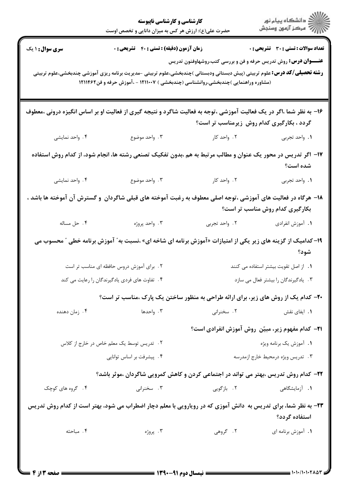|                                                                                                                                                                                                                                                                                                 | <b>کارشناسی و کارشناسی ناپیوسته</b><br>حضرت علی(ع): ارزش هر کس به میزان دانایی و تخصص اوست                              |                                                                                                      | ≦ دانشگاه پيام نو <b>ر</b><br>\  // " مرڪز آزمون وسنڊش |  |
|-------------------------------------------------------------------------------------------------------------------------------------------------------------------------------------------------------------------------------------------------------------------------------------------------|-------------------------------------------------------------------------------------------------------------------------|------------------------------------------------------------------------------------------------------|--------------------------------------------------------|--|
| <b>سری سوال : ۱ یک</b>                                                                                                                                                                                                                                                                          | <b>زمان آزمون (دقیقه) : تستی : 40 ٪ تشریحی : 0</b>                                                                      |                                                                                                      | تعداد سوالات : تستي : 30 ٪ تشريحي : 0                  |  |
| <b>عنــــوان درس:</b> روش تدریس حرفه و فن و بررسی کتب،روشهاوفنون تدریس<br><b>رشته تحصیلی/کد درس:</b> علوم تربیتی (پیش دبستانی ودبستانی )چندبخشی،علوم تربیتی -مدیریت برنامه ریزی آموزشی چندبخشی،علوم تربیتی<br>(مشاوره وراهنمایی )چندبخشی،روانشناسی (چندبخشی ) ۱۲۱۱۰۰۷ - ،آموزش حرفه و فن۱۲۱۱۴۶۲ |                                                                                                                         |                                                                                                      |                                                        |  |
|                                                                                                                                                                                                                                                                                                 | ۱۶- به نظر شما ،اگر در یک فعالیت آموزشی ،توجه به فعالیت شاگرد و نتیجه گیری از فعالیت او بر اساس انگیزه درونی ،معطوف     | گردد ، بکارگیری کدام روش زیرمناسب تر است؟                                                            |                                                        |  |
| ۰۴ واحد نمايشي                                                                                                                                                                                                                                                                                  |                                                                                                                         | ۲. واحد کار موضوع (۲۰۰۰ موضوع) به این موضوع استفاده استفاده به این موضوع استفاده استفاده استفاده است | ١. واحد تجربي                                          |  |
|                                                                                                                                                                                                                                                                                                 | ۱۷– اگر تدریس در محور یک عنوان و مطالب مرتبط به هم ،بدون تفکیک تصنعی رشته ها، انجام شود، از کدام روش استفاده            |                                                                                                      | شده است؟                                               |  |
| ۰۴ واحد نمايشي                                                                                                                                                                                                                                                                                  | ۰۳ واحد موضوع                                                                                                           | ۲. واحد کار                                                                                          | ١. واحد تجربي                                          |  |
| ۱۸– هرگاه در فعالیت های آموزشی ،توجه اصلی معطوف به رغبت آموخته های قبلی شاگردان  و گسترش آن آموخته ها باشد ،<br>بکارگیری کدام روش مناسب تر است؟                                                                                                                                                 |                                                                                                                         |                                                                                                      |                                                        |  |
| ۰۴ حل مساله                                                                                                                                                                                                                                                                                     | ۳. واحد پروژه                                                                                                           | ۲. واحد تجربی                                                                                        | ۰۱ آموزش انفرادی                                       |  |
|                                                                                                                                                                                                                                                                                                 | ۱۹- کدامیک از گزینه های زیر یکی از امتیازات «آموزش برنامه ای شاخه ای» ،نسبت به ّ آموزش برنامه خطی <sup>"</sup> محسوب می |                                                                                                      | شود؟                                                   |  |
|                                                                                                                                                                                                                                                                                                 | ٢. برای آموزش دروس حافظه ای مناسب تر است                                                                                |                                                                                                      | ٠١. از اصل تقويت بيشتر استفاده مى كنند                 |  |
|                                                                                                                                                                                                                                                                                                 | ۰۴ تفاوت های فردی یادگیرندگان را رعایت می کند<br>۰۳ یادگیرندگان را بیشتر فعال می سازد                                   |                                                                                                      |                                                        |  |
|                                                                                                                                                                                                                                                                                                 | <b>۲۰</b> - کدام یک از روش های زیر، برای ارائه طراحی به منظور ساختن یک پارک ،مناسب تر است؟                              |                                                                                                      |                                                        |  |
| ۰۴ زمان دهنده                                                                                                                                                                                                                                                                                   | ۰۳ واحدها                                                                                                               | ۲. سخنرانی                                                                                           | ۰۱ ایفای نقش                                           |  |
|                                                                                                                                                                                                                                                                                                 |                                                                                                                         | <b>۲۱</b> - کدام مفهوم زیر، مبیّن روش آموزش انفرادی است؟                                             |                                                        |  |
|                                                                                                                                                                                                                                                                                                 | ۲. تدریس توسط یک معلم خاص در خارج از کلاس<br>۰۴ پیشرفت بر اساس توانایی                                                  |                                                                                                      | ٠١. آموزش يک برنامه ويژه                               |  |
| ۰۳ تدریس ویژه درمحیط خارج ازمدرسه<br>۲۲– کدام روش تدریس ،بهتر می تواند در اجتماعی کردن و کاهش کمرویی شاگردان ،موثر باشد؟                                                                                                                                                                        |                                                                                                                         |                                                                                                      |                                                        |  |
| ۰۴ گروه های کوچک                                                                                                                                                                                                                                                                                | ۰۳ سخنرانی                                                                                                              | ۲. بازگویی                                                                                           | <b>۱.</b> آزمایشگاهی                                   |  |
|                                                                                                                                                                                                                                                                                                 | ۲۳- به نظر شما، برای تدریس به دانش آموزی که در رویارویی با معلم دچار اضطراب می شود، بهتر است از کدام روش تدریس          |                                                                                                      | استفاده گردد؟                                          |  |
| ۰۴ مباحثه                                                                                                                                                                                                                                                                                       | ۰۳ پروژه                                                                                                                | ۰۲ گروهی                                                                                             | ٠١. آموزش برنامه اي                                    |  |
| ــــــ صفحه ۱۳ از ۴                                                                                                                                                                                                                                                                             |                                                                                                                         |                                                                                                      |                                                        |  |